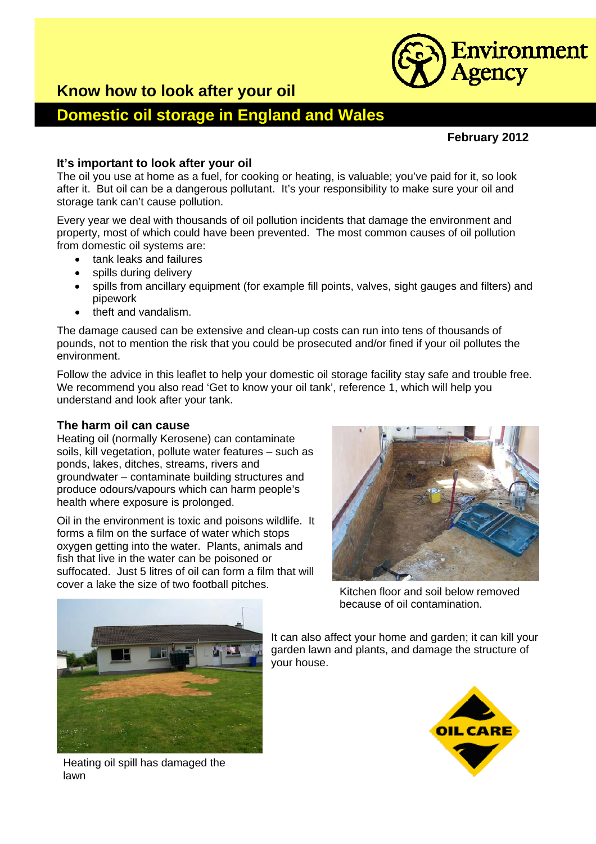

## **Know how to look after your oil**

# **Domestic oil storage in England and Wales**

#### **February 2012**

### **It's important to look after your oil**

The oil you use at home as a fuel, for cooking or heating, is valuable; you've paid for it, so look after it. But oil can be a dangerous pollutant. It's your responsibility to make sure your oil and storage tank can't cause pollution.

Every year we deal with thousands of oil pollution incidents that damage the environment and property, most of which could have been prevented. The most common causes of oil pollution from domestic oil systems are:

- tank leaks and failures
- spills during delivery
- spills from ancillary equipment (for example fill points, valves, sight gauges and filters) and pipework
- theft and vandalism.

The damage caused can be extensive and clean-up costs can run into tens of thousands of pounds, not to mention the risk that you could be prosecuted and/or fined if your oil pollutes the environment.

Follow the advice in this leaflet to help your domestic oil storage facility stay safe and trouble free. We recommend you also read 'Get to know your oil tank', reference 1, which will help you understand and look after your tank.

#### **The harm oil can cause**

Heating oil (normally Kerosene) can contaminate soils, kill vegetation, pollute water features – such as ponds, lakes, ditches, streams, rivers and groundwater – contaminate building structures and produce odours/vapours which can harm people's health where exposure is prolonged.

Oil in the environment is toxic and poisons wildlife. It forms a film on the surface of water which stops oxygen getting into the water. Plants, animals and fish that live in the water can be poisoned or suffocated. Just 5 litres of oil can form a film that will cover a lake the size of two football pitches.<br>Kitchen floor and soil below removed



because of oil contamination.



Heating oil spill has damaged the lawn

It can also affect your home and garden; it can kill your garden lawn and plants, and damage the structure of your house.

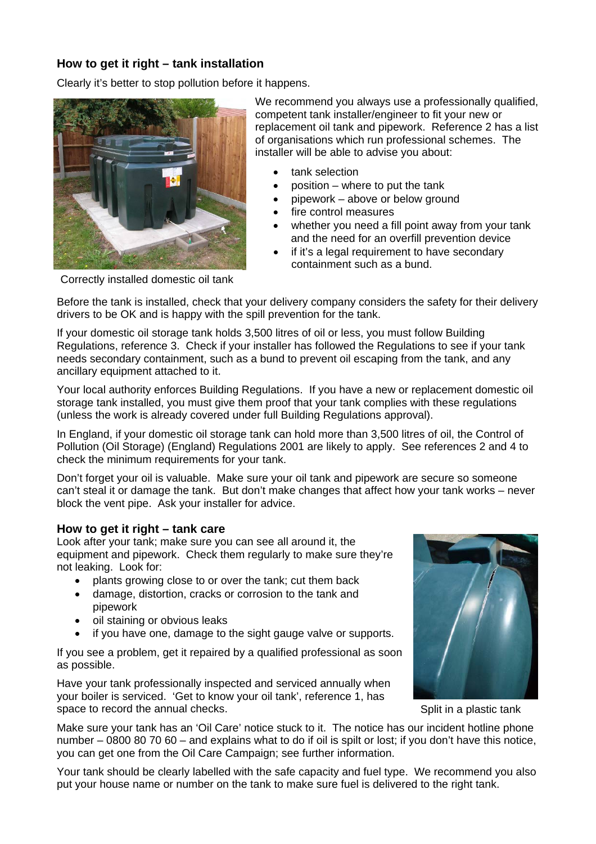## **How to get it right – tank installation**

Clearly it's better to stop pollution before it happens.



We recommend you always use a professionally qualified, competent tank installer/engineer to fit your new or replacement oil tank and pipework. Reference 2 has a list of organisations which run professional schemes. The installer will be able to advise you about:

- tank selection
- position  $-$  where to put the tank
- pipework above or below ground
- fire control measures
- whether you need a fill point away from your tank and the need for an overfill prevention device
- if it's a legal requirement to have secondary containment such as a bund.

Correctly installed domestic oil tank

Before the tank is installed, check that your delivery company considers the safety for their delivery drivers to be OK and is happy with the spill prevention for the tank.

If your domestic oil storage tank holds 3,500 litres of oil or less, you must follow Building Regulations, reference 3. Check if your installer has followed the Regulations to see if your tank needs secondary containment, such as a bund to prevent oil escaping from the tank, and any ancillary equipment attached to it.

Your local authority enforces Building Regulations. If you have a new or replacement domestic oil storage tank installed, you must give them proof that your tank complies with these regulations (unless the work is already covered under full Building Regulations approval).

In England, if your domestic oil storage tank can hold more than 3,500 litres of oil, the Control of Pollution (Oil Storage) (England) Regulations 2001 are likely to apply. See references 2 and 4 to check the minimum requirements for your tank.

Don't forget your oil is valuable. Make sure your oil tank and pipework are secure so someone can't steal it or damage the tank. But don't make changes that affect how your tank works – never block the vent pipe. Ask your installer for advice.

#### **How to get it right – tank care**

Look after your tank; make sure you can see all around it, the equipment and pipework. Check them regularly to make sure they're not leaking. Look for:

- plants growing close to or over the tank; cut them back
- damage, distortion, cracks or corrosion to the tank and pipework
- oil staining or obvious leaks
- if you have one, damage to the sight gauge valve or supports.

If you see a problem, get it repaired by a qualified professional as soon as possible.

Have your tank professionally inspected and serviced annually when your boiler is serviced. 'Get to know your oil tank', reference 1, has space to record the annual checks. Split in a plastic tank



Make sure your tank has an 'Oil Care' notice stuck to it. The notice has our incident hotline phone number – 0800 80 70 60 – and explains what to do if oil is spilt or lost; if you don't have this notice, you can get one from the Oil Care Campaign; see further information.

Your tank should be clearly labelled with the safe capacity and fuel type. We recommend you also put your house name or number on the tank to make sure fuel is delivered to the right tank.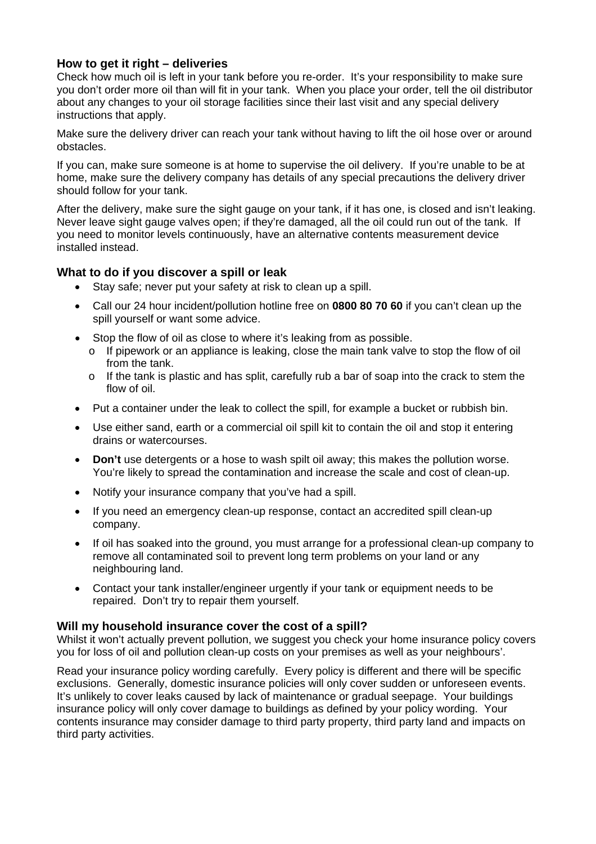## **How to get it right – deliveries**

Check how much oil is left in your tank before you re-order. It's your responsibility to make sure you don't order more oil than will fit in your tank. When you place your order, tell the oil distributor about any changes to your oil storage facilities since their last visit and any special delivery instructions that apply.

Make sure the delivery driver can reach your tank without having to lift the oil hose over or around obstacles.

If you can, make sure someone is at home to supervise the oil delivery. If you're unable to be at home, make sure the delivery company has details of any special precautions the delivery driver should follow for your tank.

After the delivery, make sure the sight gauge on your tank, if it has one, is closed and isn't leaking. Never leave sight gauge valves open; if they're damaged, all the oil could run out of the tank. If you need to monitor levels continuously, have an alternative contents measurement device installed instead.

## **What to do if you discover a spill or leak**

- Stay safe: never put your safety at risk to clean up a spill.
- Call our 24 hour incident/pollution hotline free on **0800 80 70 60** if you can't clean up the spill yourself or want some advice.
- Stop the flow of oil as close to where it's leaking from as possible.
	- $\circ$  If pipework or an appliance is leaking, close the main tank valve to stop the flow of oil from the tank.
	- $\circ$  If the tank is plastic and has split, carefully rub a bar of soap into the crack to stem the flow of oil.
- Put a container under the leak to collect the spill, for example a bucket or rubbish bin.
- Use either sand, earth or a commercial oil spill kit to contain the oil and stop it entering drains or watercourses.
- **Don't** use detergents or a hose to wash spilt oil away; this makes the pollution worse. You're likely to spread the contamination and increase the scale and cost of clean-up.
- Notify your insurance company that you've had a spill.
- If you need an emergency clean-up response, contact an accredited spill clean-up company.
- If oil has soaked into the ground, you must arrange for a professional clean-up company to remove all contaminated soil to prevent long term problems on your land or any neighbouring land.
- Contact your tank installer/engineer urgently if your tank or equipment needs to be repaired. Don't try to repair them yourself.

## **Will my household insurance cover the cost of a spill?**

Whilst it won't actually prevent pollution, we suggest you check your home insurance policy covers you for loss of oil and pollution clean-up costs on your premises as well as your neighbours'.

Read your insurance policy wording carefully. Every policy is different and there will be specific exclusions. Generally, domestic insurance policies will only cover sudden or unforeseen events. It's unlikely to cover leaks caused by lack of maintenance or gradual seepage. Your buildings insurance policy will only cover damage to buildings as defined by your policy wording. Your contents insurance may consider damage to third party property, third party land and impacts on third party activities.